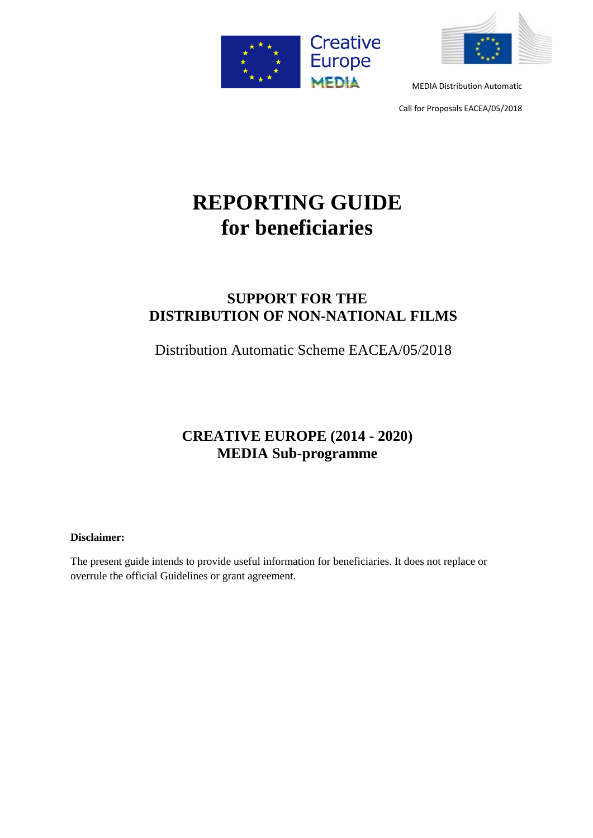



Call for Proposals EACEA/05/2018

# **REPORTING GUIDE for beneficiaries**

# **SUPPORT FOR THE DISTRIBUTION OF NON-NATIONAL FILMS**

Distribution Automatic Scheme EACEA/05/2018

# **CREATIVE EUROPE (2014 - 2020) MEDIA Sub-programme**

# **Disclaimer:**

The present guide intends to provide useful information for beneficiaries. It does not replace or overrule the official Guidelines or grant agreement.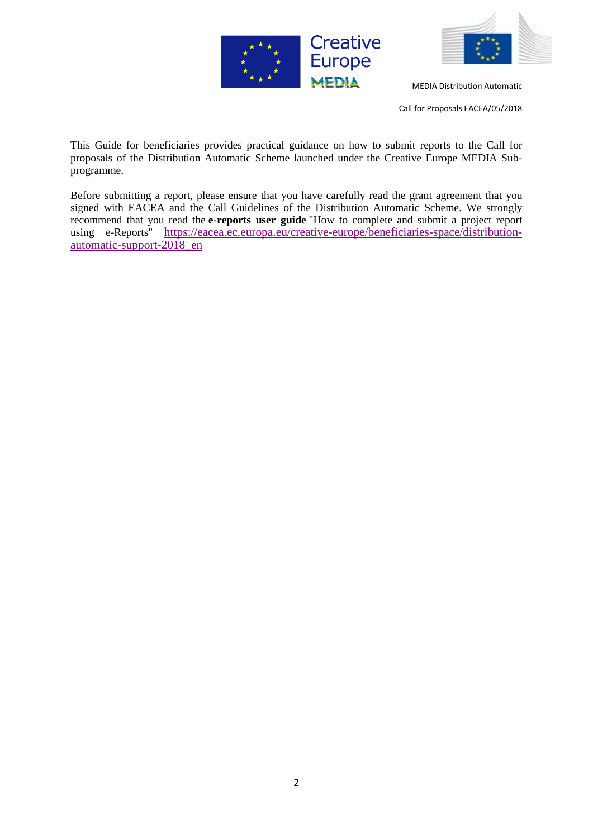



Call for Proposals EACEA/05/2018

This Guide for beneficiaries provides practical guidance on how to submit reports to the Call for proposals of the Distribution Automatic Scheme launched under the Creative Europe MEDIA Subprogramme.

Before submitting a report, please ensure that you have carefully read the grant agreement that you signed with EACEA and the Call Guidelines of the Distribution Automatic Scheme. We strongly recommend that you read the **e-reports user guide** "How to complete and submit a project report using e-Reports" [https://eacea.ec.europa.eu/creative-europe/beneficiaries-space/distribution](https://eacea.ec.europa.eu/creative-europe/beneficiaries-space/distribution-automatic-support-2018_en)[automatic-support-2018\\_en](https://eacea.ec.europa.eu/creative-europe/beneficiaries-space/distribution-automatic-support-2018_en)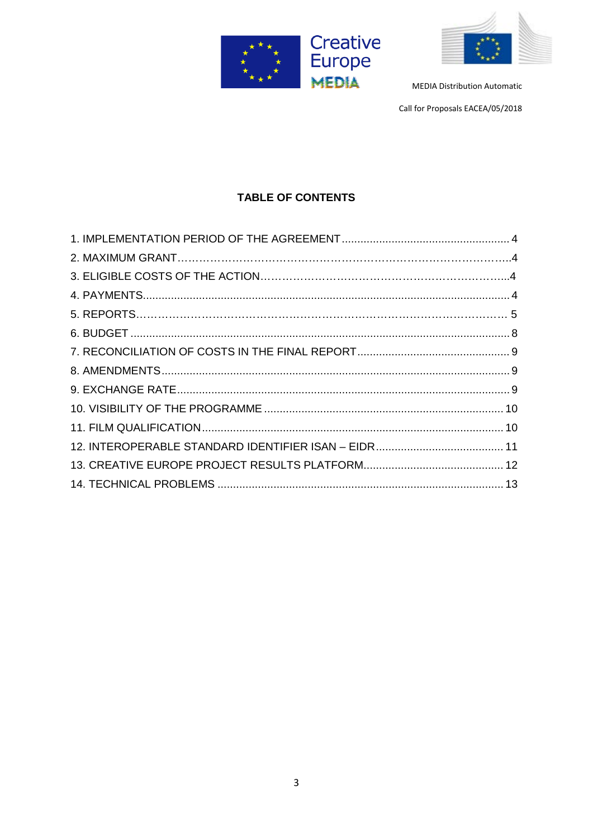



Call for Proposals EACEA/05/2018

# **TABLE OF CONTENTS**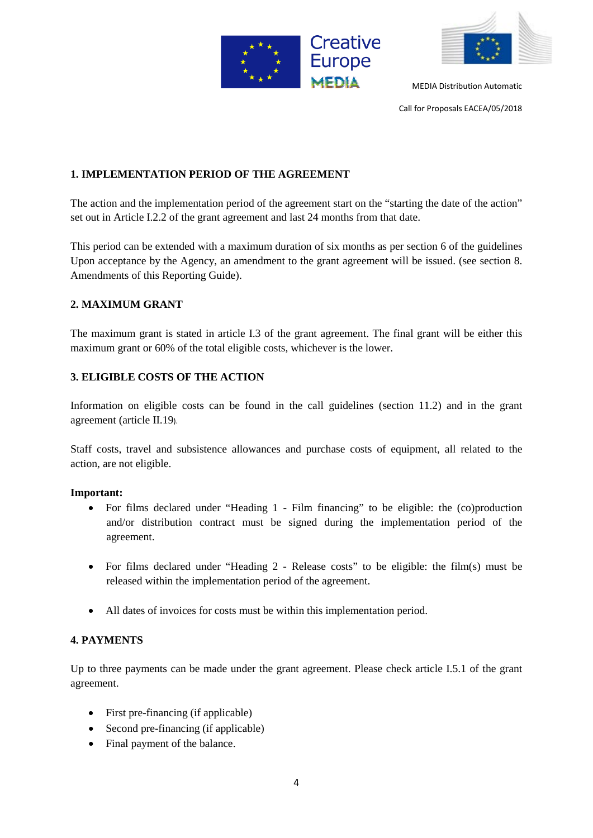



Call for Proposals EACEA/05/2018

# **1. IMPLEMENTATION PERIOD OF THE AGREEMENT**

The action and the implementation period of the agreement start on the "starting the date of the action" set out in Article I.2.2 of the grant agreement and last 24 months from that date.

This period can be extended with a maximum duration of six months as per section 6 of the guidelines Upon acceptance by the Agency, an amendment to the grant agreement will be issued. (see section 8. Amendments of this Reporting Guide).

# **2. MAXIMUM GRANT**

The maximum grant is stated in article I.3 of the grant agreement. The final grant will be either this maximum grant or 60% of the total eligible costs, whichever is the lower.

# **3. ELIGIBLE COSTS OF THE ACTION**

Information on eligible costs can be found in the call guidelines (section 11.2) and in the grant agreement (article II.19).

Staff costs, travel and subsistence allowances and purchase costs of equipment, all related to the action, are not eligible.

# **Important:**

- For films declared under "Heading 1 Film financing" to be eligible: the (co)production and/or distribution contract must be signed during the implementation period of the agreement.
- For films declared under "Heading 2 Release costs" to be eligible: the film(s) must be released within the implementation period of the agreement.
- All dates of invoices for costs must be within this implementation period.

# **4. PAYMENTS**

Up to three payments can be made under the grant agreement. Please check article I.5.1 of the grant agreement.

- First pre-financing (if applicable)
- Second pre-financing (if applicable)
- Final payment of the balance.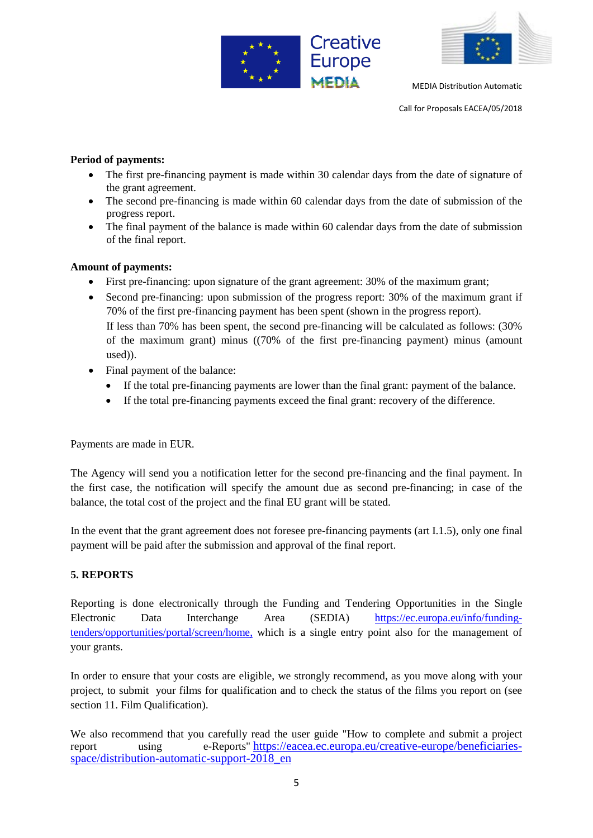



Call for Proposals EACEA/05/2018

# **Period of payments:**

- The first pre-financing payment is made within 30 calendar days from the date of signature of the grant agreement.
- The second pre-financing is made within 60 calendar days from the date of submission of the progress report.
- The final payment of the balance is made within 60 calendar days from the date of submission of the final report.

#### **Amount of payments:**

- First pre-financing: upon signature of the grant agreement: 30% of the maximum grant;
- Second pre-financing: upon submission of the progress report: 30% of the maximum grant if 70% of the first pre-financing payment has been spent (shown in the progress report). If less than 70% has been spent, the second pre-financing will be calculated as follows: (30% of the maximum grant) minus ((70% of the first pre-financing payment) minus (amount used)).
- Final payment of the balance:
	- If the total pre-financing payments are lower than the final grant: payment of the balance.
	- If the total pre-financing payments exceed the final grant: recovery of the difference.

Payments are made in EUR.

The Agency will send you a notification letter for the second pre-financing and the final payment. In the first case, the notification will specify the amount due as second pre-financing; in case of the balance, the total cost of the project and the final EU grant will be stated.

In the event that the grant agreement does not foresee pre-financing payments (art I.1.5), only one final payment will be paid after the submission and approval of the final report.

# **5. REPORTS**

Reporting is done electronically through the Funding and Tendering Opportunities in the Single Electronic Data Interchange Area (SEDIA) [https://ec.europa.eu/info/funding](https://ec.europa.eu/info/funding-tenders/opportunities/portal/screen/home)[tenders/opportunities/portal/screen/home,](https://ec.europa.eu/info/funding-tenders/opportunities/portal/screen/home) which is a single entry point also for the management of your grants.

In order to ensure that your costs are eligible, we strongly recommend, as you move along with your project, to submit your films for qualification and to check the status of the films you report on (see section 11. Film Qualification).

We also recommend that you carefully read the user guide "How to complete and submit a project report using e-Reports" [https://eacea.ec.europa.eu/creative-europe/beneficiaries](https://eacea.ec.europa.eu/creative-europe/beneficiaries-space/distribution-automatic-support-2018_en)[space/distribution-automatic-support-2018\\_en](https://eacea.ec.europa.eu/creative-europe/beneficiaries-space/distribution-automatic-support-2018_en)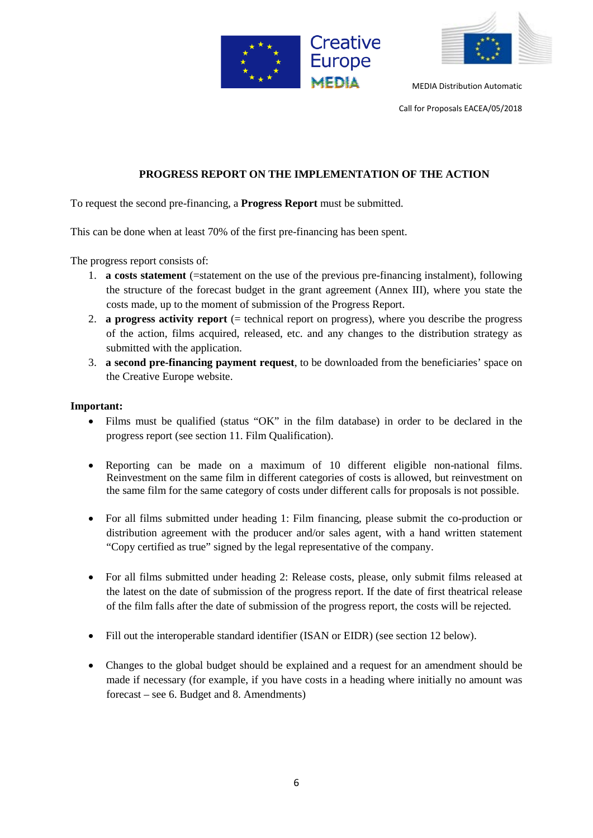



Call for Proposals EACEA/05/2018

# **PROGRESS REPORT ON THE IMPLEMENTATION OF THE ACTION**

To request the second pre-financing, a **Progress Report** must be submitted.

This can be done when at least 70% of the first pre-financing has been spent.

The progress report consists of:

- 1. **a costs statement** (=statement on the use of the previous pre-financing instalment), following the structure of the forecast budget in the grant agreement (Annex III), where you state the costs made, up to the moment of submission of the Progress Report.
- 2. **a progress activity report** (= technical report on progress), where you describe the progress of the action, films acquired, released, etc. and any changes to the distribution strategy as submitted with the application.
- 3. **a second pre-financing payment request**, to be downloaded from the beneficiaries' space on the Creative Europe website.

#### **Important:**

- Films must be qualified (status "OK" in the film database) in order to be declared in the progress report (see section 11. Film Qualification).
- Reporting can be made on a maximum of 10 different eligible non-national films. Reinvestment on the same film in different categories of costs is allowed, but reinvestment on the same film for the same category of costs under different calls for proposals is not possible.
- For all films submitted under heading 1: Film financing, please submit the co-production or distribution agreement with the producer and/or sales agent, with a hand written statement "Copy certified as true" signed by the legal representative of the company.
- For all films submitted under heading 2: Release costs, please, only submit films released at the latest on the date of submission of the progress report. If the date of first theatrical release of the film falls after the date of submission of the progress report, the costs will be rejected.
- Fill out the interoperable standard identifier (ISAN or EIDR) (see section 12 below).
- Changes to the global budget should be explained and a request for an amendment should be made if necessary (for example, if you have costs in a heading where initially no amount was forecast – see 6. Budget and 8. Amendments)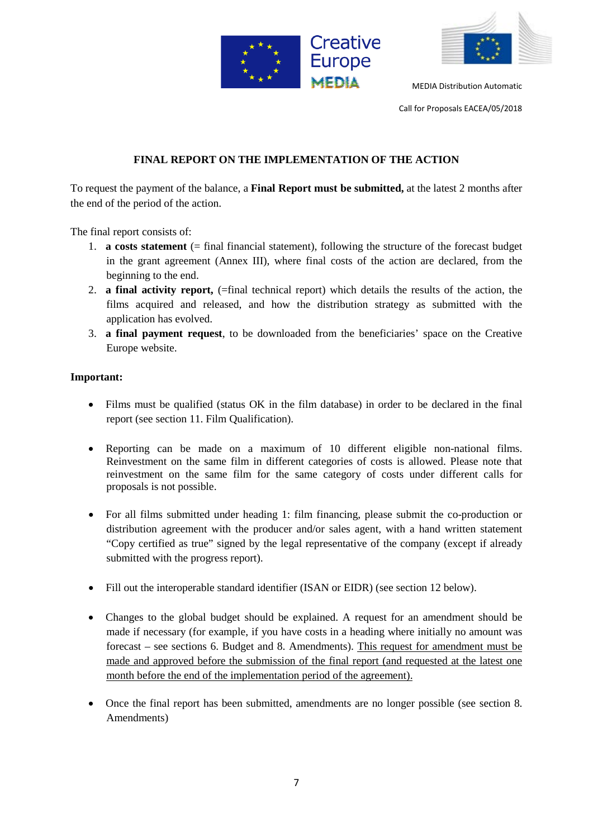



Call for Proposals EACEA/05/2018

# **FINAL REPORT ON THE IMPLEMENTATION OF THE ACTION**

To request the payment of the balance, a **Final Report must be submitted,** at the latest 2 months after the end of the period of the action.

The final report consists of:

- 1. **a costs statement** (= final financial statement), following the structure of the forecast budget in the grant agreement (Annex III), where final costs of the action are declared, from the beginning to the end.
- 2. **a final activity report,** (=final technical report) which details the results of the action, the films acquired and released, and how the distribution strategy as submitted with the application has evolved.
- 3. **a final payment request**, to be downloaded from the beneficiaries' space on the Creative Europe website.

# **Important:**

- Films must be qualified (status OK in the film database) in order to be declared in the final report (see section 11. Film Qualification).
- Reporting can be made on a maximum of 10 different eligible non-national films. Reinvestment on the same film in different categories of costs is allowed. Please note that reinvestment on the same film for the same category of costs under different calls for proposals is not possible.
- For all films submitted under heading 1: film financing, please submit the co-production or distribution agreement with the producer and/or sales agent, with a hand written statement "Copy certified as true" signed by the legal representative of the company (except if already submitted with the progress report).
- Fill out the interoperable standard identifier (ISAN or EIDR) (see section 12 below).
- Changes to the global budget should be explained. A request for an amendment should be made if necessary (for example, if you have costs in a heading where initially no amount was forecast – see sections 6. Budget and 8. Amendments). This request for amendment must be made and approved before the submission of the final report (and requested at the latest one month before the end of the implementation period of the agreement).
- Once the final report has been submitted, amendments are no longer possible (see section 8. Amendments)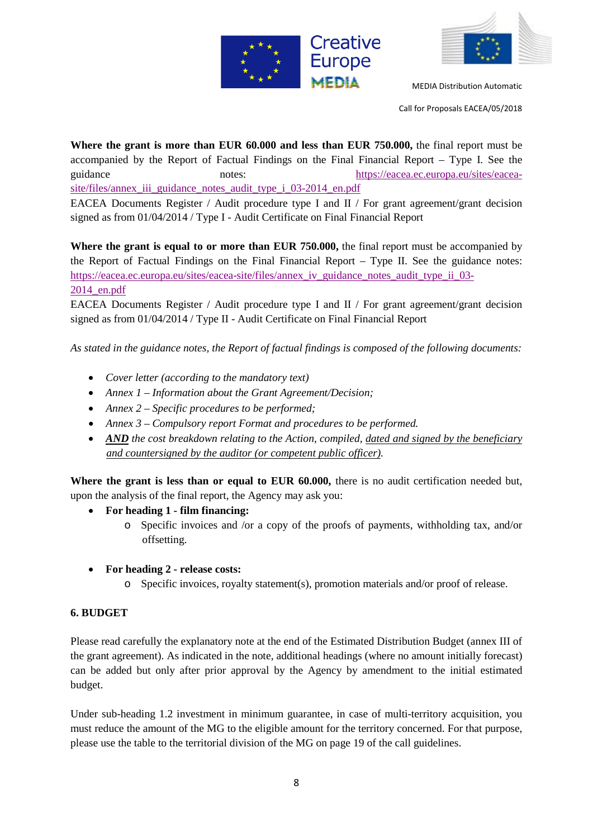



Call for Proposals EACEA/05/2018

**Where the grant is more than EUR 60.000 and less than EUR 750.000,** the final report must be accompanied by the Report of Factual Findings on the Final Financial Report – Type I. See the guidance notes: [https://eacea.ec.europa.eu/sites/eacea](https://eacea.ec.europa.eu/sites/eacea-site/files/annex_iii_guidance_notes_audit_type_i_03-2014_en.pdf)[site/files/annex\\_iii\\_guidance\\_notes\\_audit\\_type\\_i\\_03-2014\\_en.pdf](https://eacea.ec.europa.eu/sites/eacea-site/files/annex_iii_guidance_notes_audit_type_i_03-2014_en.pdf) EACEA Documents Register / Audit procedure type I and II / For grant agreement/grant decision signed as from 01/04/2014 / Type I - Audit Certificate on Final Financial Report

**Where the grant is equal to or more than EUR 750.000,** the final report must be accompanied by the Report of Factual Findings on the Final Financial Report – Type II. See the guidance notes: [https://eacea.ec.europa.eu/sites/eacea-site/files/annex\\_iv\\_guidance\\_notes\\_audit\\_type\\_ii\\_03-](https://eacea.ec.europa.eu/sites/eacea-site/files/annex_iv_guidance_notes_audit_type_ii_03-2014_en.pdf) [2014\\_en.pdf](https://eacea.ec.europa.eu/sites/eacea-site/files/annex_iv_guidance_notes_audit_type_ii_03-2014_en.pdf)

EACEA Documents Register / Audit procedure type I and II / For grant agreement/grant decision signed as from 01/04/2014 / Type II - Audit Certificate on Final Financial Report

*As stated in the guidance notes, the Report of factual findings is composed of the following documents:* 

- *Cover letter (according to the mandatory text)*
- *Annex 1 – Information about the Grant Agreement/Decision;*
- *Annex 2 – Specific procedures to be performed;*
- *Annex 3 – Compulsory report Format and procedures to be performed.*
- *AND* the cost breakdown relating to the Action, compiled, dated and signed by the beneficiary *and countersigned by the auditor (or competent public officer).*

Where the grant is less than or equal to EUR 60.000, there is no audit certification needed but, upon the analysis of the final report, the Agency may ask you:

- **For heading 1 - film financing:** 
	- o Specific invoices and /or a copy of the proofs of payments, withholding tax, and/or offsetting.
- **For heading 2 - release costs:** 
	- o Specific invoices, royalty statement(s), promotion materials and/or proof of release.

# **6. BUDGET**

Please read carefully the explanatory note at the end of the Estimated Distribution Budget (annex III of the grant agreement). As indicated in the note, additional headings (where no amount initially forecast) can be added but only after prior approval by the Agency by amendment to the initial estimated budget.

Under sub-heading 1.2 investment in minimum guarantee, in case of multi-territory acquisition, you must reduce the amount of the MG to the eligible amount for the territory concerned. For that purpose, please use the table to the territorial division of the MG on page 19 of the call guidelines.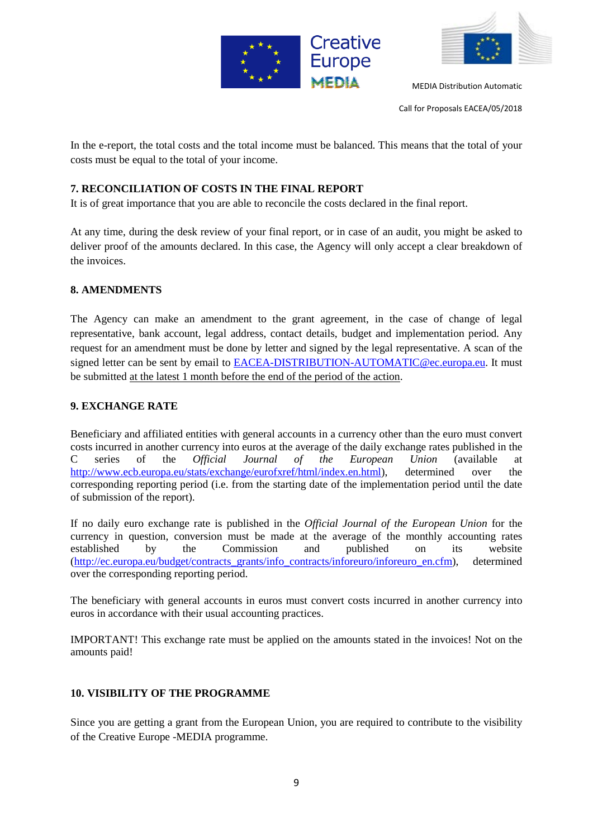



Call for Proposals EACEA/05/2018

In the e-report, the total costs and the total income must be balanced. This means that the total of your costs must be equal to the total of your income.

# **7. RECONCILIATION OF COSTS IN THE FINAL REPORT**

It is of great importance that you are able to reconcile the costs declared in the final report.

At any time, during the desk review of your final report, or in case of an audit, you might be asked to deliver proof of the amounts declared. In this case, the Agency will only accept a clear breakdown of the invoices.

# **8. AMENDMENTS**

The Agency can make an amendment to the grant agreement, in the case of change of legal representative, bank account, legal address, contact details, budget and implementation period. Any request for an amendment must be done by letter and signed by the legal representative. A scan of the signed letter can be sent by email to [EACEA-DISTRIBUTION-AUTOMATIC@ec.europa.eu.](mailto:EACEA-DISTRIBUTION-AUTOMATIC@ec.europa.eu) It must be submitted at the latest 1 month before the end of the period of the action.

# **9. EXCHANGE RATE**

Beneficiary and affiliated entities with general accounts in a currency other than the euro must convert costs incurred in another currency into euros at the average of the daily exchange rates published in the C series of the *Official Journal of the European Union* (available at [http://www.ecb.europa.eu/stats/exchange/eurofxref/html/index.en.html\)](http://www.ecb.europa.eu/stats/exchange/eurofxref/html/index.en.html), determined over the corresponding reporting period (i.e. from the starting date of the implementation period until the date of submission of the report).

If no daily euro exchange rate is published in the *Official Journal of the European Union* for the currency in question, conversion must be made at the average of the monthly accounting rates established by the Commission and published on its website [\(http://ec.europa.eu/budget/contracts\\_grants/info\\_contracts/inforeuro/inforeuro\\_en.cfm\)](http://ec.europa.eu/budget/contracts_grants/info_contracts/inforeuro/inforeuro_en.cfm), determined over the corresponding reporting period.

The beneficiary with general accounts in euros must convert costs incurred in another currency into euros in accordance with their usual accounting practices.

IMPORTANT! This exchange rate must be applied on the amounts stated in the invoices! Not on the amounts paid!

# **10. VISIBILITY OF THE PROGRAMME**

Since you are getting a grant from the European Union, you are required to contribute to the visibility of the Creative Europe -MEDIA programme.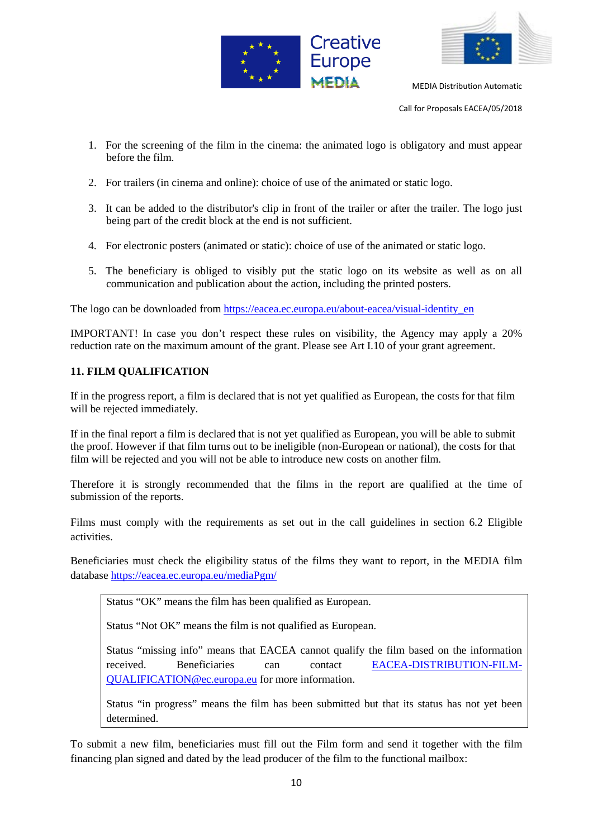



Call for Proposals EACEA/05/2018

- 1. For the screening of the film in the cinema: the animated logo is obligatory and must appear before the film.
- 2. For trailers (in cinema and online): choice of use of the animated or static logo.
- 3. It can be added to the distributor's clip in front of the trailer or after the trailer. The logo just being part of the credit block at the end is not sufficient.
- 4. For electronic posters (animated or static): choice of use of the animated or static logo.
- 5. The beneficiary is obliged to visibly put the static logo on its website as well as on all communication and publication about the action, including the printed posters.

The logo can be downloaded from [https://eacea.ec.europa.eu/about-eacea/visual-identity\\_en](https://eacea.ec.europa.eu/about-eacea/visual-identity_en)

IMPORTANT! In case you don't respect these rules on visibility, the Agency may apply a 20% reduction rate on the maximum amount of the grant. Please see Art I.10 of your grant agreement.

#### **11. FILM QUALIFICATION**

If in the progress report, a film is declared that is not yet qualified as European, the costs for that film will be rejected immediately.

If in the final report a film is declared that is not yet qualified as European, you will be able to submit the proof. However if that film turns out to be ineligible (non-European or national), the costs for that film will be rejected and you will not be able to introduce new costs on another film.

Therefore it is strongly recommended that the films in the report are qualified at the time of submission of the reports.

Films must comply with the requirements as set out in the call guidelines in section 6.2 Eligible activities.

Beneficiaries must check the eligibility status of the films they want to report, in the MEDIA film database<https://eacea.ec.europa.eu/mediaPgm/>

Status "OK" means the film has been qualified as European.

Status "Not OK" means the film is not qualified as European.

Status "missing info" means that EACEA cannot qualify the film based on the information received. Beneficiaries can contact [EACEA-DISTRIBUTION-FILM-](mailto:EACEA-DISTRIBUTION-FILM-QUALIFICATION@ec.europa.eu)[QUALIFICATION@ec.europa.eu](mailto:EACEA-DISTRIBUTION-FILM-QUALIFICATION@ec.europa.eu) for more information.

Status "in progress" means the film has been submitted but that its status has not yet been determined.

To submit a new film, beneficiaries must fill out the Film form and send it together with the film financing plan signed and dated by the lead producer of the film to the functional mailbox: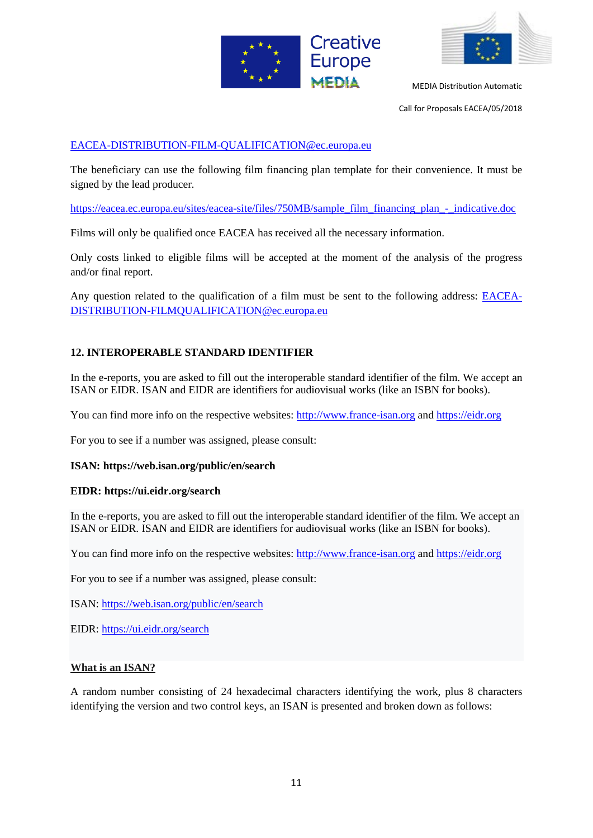



Call for Proposals EACEA/05/2018

#### [EACEA-DISTRIBUTION-FILM-QUALIFICATION@ec.europa.eu](mailto:EACEA-DISTRIBUTION-FILM-QUALIFICATION@ec.europa.eu)

The beneficiary can use the following film financing plan template for their convenience. It must be signed by the lead producer.

[https://eacea.ec.europa.eu/sites/eacea-site/files/750MB/sample\\_film\\_financing\\_plan\\_-\\_indicative.doc](https://eacea.ec.europa.eu/sites/eacea-site/files/750MB/sample_film_financing_plan_-_indicative.doc)

Films will only be qualified once EACEA has received all the necessary information.

Only costs linked to eligible films will be accepted at the moment of the analysis of the progress and/or final report.

Any question related to the qualification of a film must be sent to the following address: [EACEA-](mailto:EACEA-DISTRIBUTION-FILMQUALIFICATION@ec.europa.eu)[DISTRIBUTION-FILMQUALIFICATION@ec.europa.eu](mailto:EACEA-DISTRIBUTION-FILMQUALIFICATION@ec.europa.eu)

# **12. INTEROPERABLE STANDARD IDENTIFIER**

In the e-reports, you are asked to fill out the interoperable standard identifier of the film. We accept an ISAN or EIDR. ISAN and EIDR are identifiers for audiovisual works (like an ISBN for books).

You can find more info on the respective websites: [http://www.france-isan.org](http://www.france-isan.org/) and [https://eidr.org](https://eidr.org/)

For you to see if a number was assigned, please consult:

#### **ISAN: https://web.isan.org/public/en/search**

#### **EIDR: https://ui.eidr.org/search**

In the e-reports, you are asked to fill out the interoperable standard identifier of the film. We accept an ISAN or EIDR. ISAN and EIDR are identifiers for audiovisual works (like an ISBN for books).

You can find more info on the respective websites: [http://www.france-isan.org](http://www.france-isan.org/) and [https://eidr.org](https://eidr.org/)

For you to see if a number was assigned, please consult:

ISAN:<https://web.isan.org/public/en/search>

EIDR:<https://ui.eidr.org/search>

#### **What is an ISAN?**

A random number consisting of 24 hexadecimal characters identifying the work, plus 8 characters identifying the version and two control keys, an ISAN is presented and broken down as follows: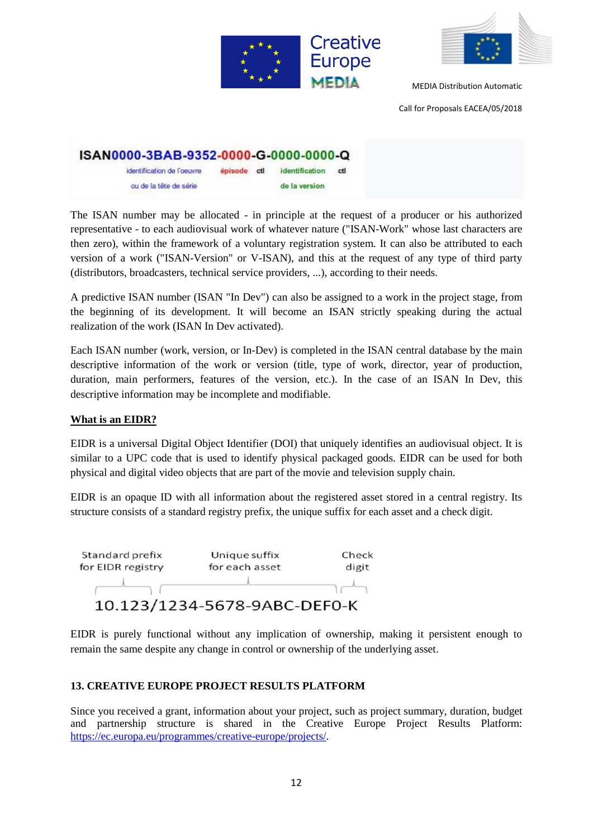



Call for Proposals EACEA/05/2018

| ISAN0000-3BAB-9352-0000-G-0000-0000-Q |             |                |     |
|---------------------------------------|-------------|----------------|-----|
| identification de l'oeuvre            | episode ctl | identification | ctl |
| ou de la tête de série                |             | de la version  |     |

The ISAN number may be allocated - in principle at the request of a producer or his authorized representative - to each audiovisual work of whatever nature ("ISAN-Work" whose last characters are then zero), within the framework of a voluntary registration system. It can also be attributed to each version of a work ("ISAN-Version" or V-ISAN), and this at the request of any type of third party (distributors, broadcasters, technical service providers, ...), according to their needs.

A predictive ISAN number (ISAN "In Dev") can also be assigned to a work in the project stage, from the beginning of its development. It will become an ISAN strictly speaking during the actual realization of the work (ISAN In Dev activated).

Each ISAN number (work, version, or In-Dev) is completed in the ISAN central database by the main descriptive information of the work or version (title, type of work, director, year of production, duration, main performers, features of the version, etc.). In the case of an ISAN In Dev, this descriptive information may be incomplete and modifiable.

#### **What is an EIDR?**

EIDR is a universal Digital Object Identifier (DOI) that uniquely identifies an audiovisual object. It is similar to a UPC code that is used to identify physical packaged goods. EIDR can be used for both physical and digital video objects that are part of the movie and television supply chain.

EIDR is an opaque ID with all information about the registered asset stored in a central registry. Its structure consists of a standard registry prefix, the unique suffix for each asset and a check digit.



EIDR is purely functional without any implication of ownership, making it persistent enough to remain the same despite any change in control or ownership of the underlying asset.

# **13. CREATIVE EUROPE PROJECT RESULTS PLATFORM**

Since you received a grant, information about your project, such as project summary, duration, budget and partnership structure is shared in the Creative Europe Project Results Platform: [https://ec.europa.eu/programmes/creative-europe/projects/.](https://ec.europa.eu/programmes/creative-europe/projects/)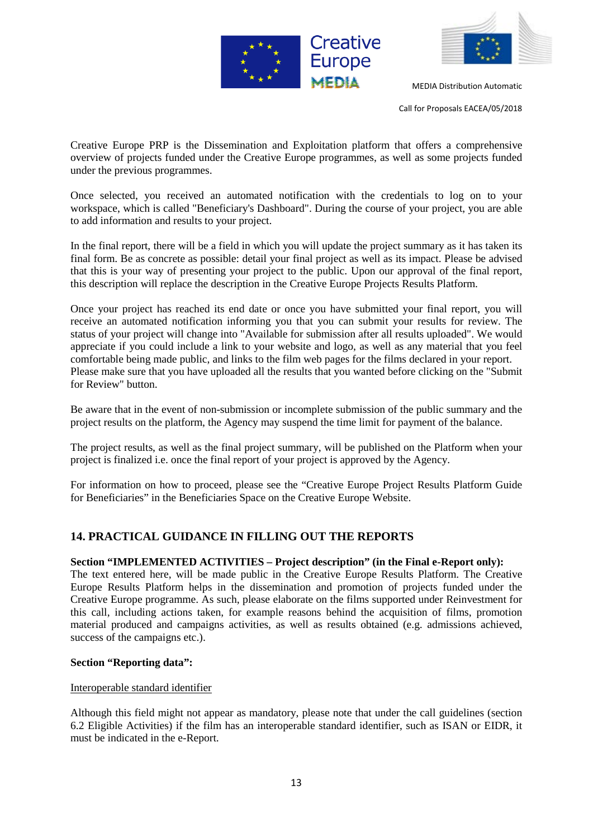



Call for Proposals EACEA/05/2018

Creative Europe PRP is the Dissemination and Exploitation platform that offers a comprehensive overview of projects funded under the Creative Europe programmes, as well as some projects funded under the previous programmes.

Once selected, you received an automated notification with the credentials to log on to your workspace, which is called "Beneficiary's Dashboard". During the course of your project, you are able to add information and results to your project.

In the final report, there will be a field in which you will update the project summary as it has taken its final form. Be as concrete as possible: detail your final project as well as its impact. Please be advised that this is your way of presenting your project to the public. Upon our approval of the final report, this description will replace the description in the Creative Europe Projects Results Platform.

Once your project has reached its end date or once you have submitted your final report, you will receive an automated notification informing you that you can submit your results for review. The status of your project will change into "Available for submission after all results uploaded". We would appreciate if you could include a link to your website and logo, as well as any material that you feel comfortable being made public, and links to the film web pages for the films declared in your report. Please make sure that you have uploaded all the results that you wanted before clicking on the "Submit for Review" button.

Be aware that in the event of non-submission or incomplete submission of the public summary and the project results on the platform, the Agency may suspend the time limit for payment of the balance.

The project results, as well as the final project summary, will be published on the Platform when your project is finalized i.e. once the final report of your project is approved by the Agency.

For information on how to proceed, please see the "Creative Europe Project Results Platform Guide for Beneficiaries" in the Beneficiaries Space on the Creative Europe Website.

# **14. PRACTICAL GUIDANCE IN FILLING OUT THE REPORTS**

#### **Section "IMPLEMENTED ACTIVITIES – Project description" (in the Final e-Report only):**

The text entered here, will be made public in the Creative Europe Results Platform. The Creative Europe Results Platform helps in the dissemination and promotion of projects funded under the Creative Europe programme. As such, please elaborate on the films supported under Reinvestment for this call, including actions taken, for example reasons behind the acquisition of films, promotion material produced and campaigns activities, as well as results obtained (e.g. admissions achieved, success of the campaigns etc.).

#### **Section "Reporting data":**

#### Interoperable standard identifier

Although this field might not appear as mandatory, please note that under the call guidelines (section 6.2 Eligible Activities) if the film has an interoperable standard identifier, such as ISAN or EIDR, it must be indicated in the e-Report.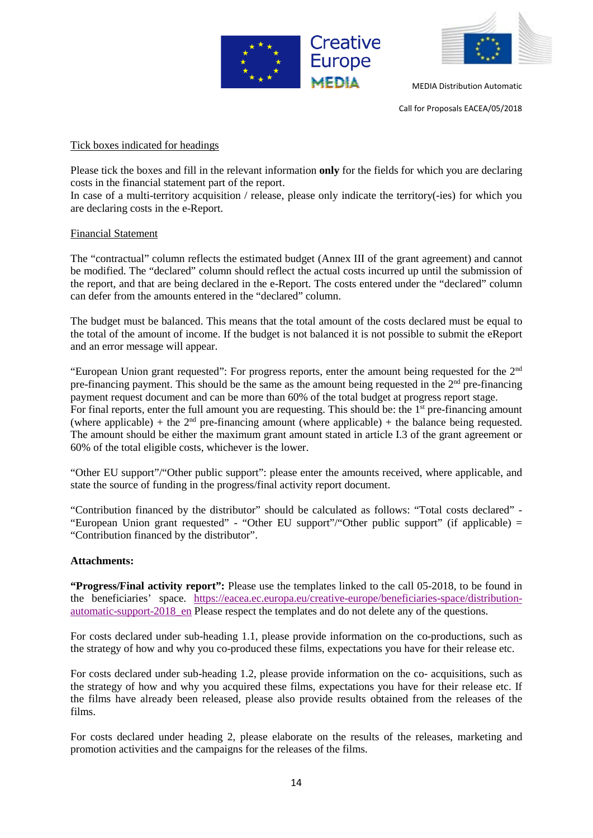



Call for Proposals EACEA/05/2018

#### Tick boxes indicated for headings

Please tick the boxes and fill in the relevant information **only** for the fields for which you are declaring costs in the financial statement part of the report.

In case of a multi-territory acquisition / release, please only indicate the territory(-ies) for which you are declaring costs in the e-Report.

#### Financial Statement

The "contractual" column reflects the estimated budget (Annex III of the grant agreement) and cannot be modified. The "declared" column should reflect the actual costs incurred up until the submission of the report, and that are being declared in the e-Report. The costs entered under the "declared" column can defer from the amounts entered in the "declared" column.

The budget must be balanced. This means that the total amount of the costs declared must be equal to the total of the amount of income. If the budget is not balanced it is not possible to submit the eReport and an error message will appear.

"European Union grant requested": For progress reports, enter the amount being requested for the 2nd pre-financing payment. This should be the same as the amount being requested in the 2<sup>nd</sup> pre-financing payment request document and can be more than 60% of the total budget at progress report stage. For final reports, enter the full amount you are requesting. This should be: the 1<sup>st</sup> pre-financing amount (where applicable) + the  $2<sup>nd</sup>$  pre-financing amount (where applicable) + the balance being requested. The amount should be either the maximum grant amount stated in article I.3 of the grant agreement or 60% of the total eligible costs, whichever is the lower.

"Other EU support"/"Other public support": please enter the amounts received, where applicable, and state the source of funding in the progress/final activity report document.

"Contribution financed by the distributor" should be calculated as follows: "Total costs declared" - "European Union grant requested" - "Other EU support"/"Other public support" (if applicable) = "Contribution financed by the distributor".

#### **Attachments:**

**"Progress/Final activity report":** Please use the templates linked to the call 05-2018, to be found in the beneficiaries' space. [https://eacea.ec.europa.eu/creative-europe/beneficiaries-space/distribution](https://eacea.ec.europa.eu/creative-europe/beneficiaries-space/distribution-automatic-support-2018_en)automatic-support-2018 en Please respect the templates and do not delete any of the questions.

For costs declared under sub-heading 1.1, please provide information on the co-productions, such as the strategy of how and why you co-produced these films, expectations you have for their release etc.

For costs declared under sub-heading 1.2, please provide information on the co- acquisitions, such as the strategy of how and why you acquired these films, expectations you have for their release etc. If the films have already been released, please also provide results obtained from the releases of the films.

For costs declared under heading 2, please elaborate on the results of the releases, marketing and promotion activities and the campaigns for the releases of the films.